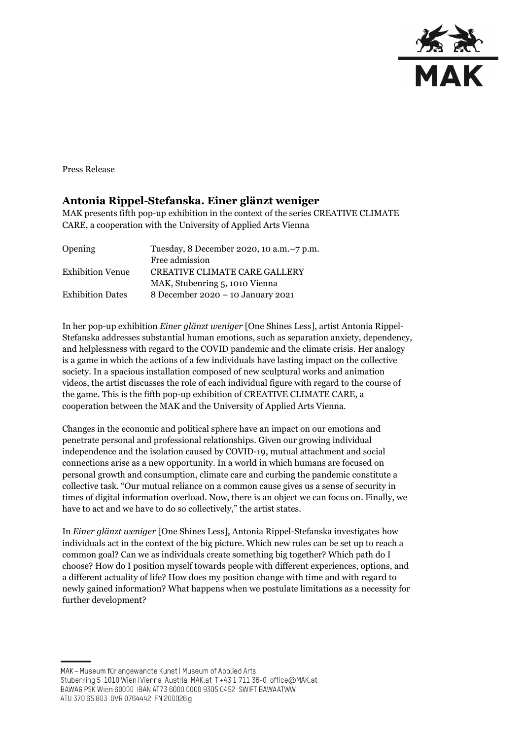

Press Release

## **Antonia Rippel-Stefanska. Einer glänzt weniger**

MAK presents fifth pop-up exhibition in the context of the series CREATIVE CLIMATE CARE, a cooperation with the University of Applied Arts Vienna

| Opening                 | Tuesday, 8 December 2020, 10 a.m. -7 p.m. |
|-------------------------|-------------------------------------------|
|                         | Free admission                            |
| <b>Exhibition Venue</b> | <b>CREATIVE CLIMATE CARE GALLERY</b>      |
|                         | MAK, Stubenring 5, 1010 Vienna            |
| <b>Exhibition Dates</b> | 8 December 2020 - 10 January 2021         |
|                         |                                           |

In her pop-up exhibition *Einer glänzt weniger* [One Shines Less], artist Antonia Rippel-Stefanska addresses substantial human emotions, such as separation anxiety, dependency, and helplessness with regard to the COVID pandemic and the climate crisis. Her analogy is a game in which the actions of a few individuals have lasting impact on the collective society. In a spacious installation composed of new sculptural works and animation videos, the artist discusses the role of each individual figure with regard to the course of the game. This is the fifth pop-up exhibition of CREATIVE CLIMATE CARE, a cooperation between the MAK and the University of Applied Arts Vienna.

Changes in the economic and political sphere have an impact on our emotions and penetrate personal and professional relationships. Given our growing individual independence and the isolation caused by COVID-19, mutual attachment and social connections arise as a new opportunity. In a world in which humans are focused on personal growth and consumption, climate care and curbing the pandemic constitute a collective task. "Our mutual reliance on a common cause gives us a sense of security in times of digital information overload. Now, there is an object we can focus on. Finally, we have to act and we have to do so collectively," the artist states.

In *Einer glänzt weniger* [One Shines Less], Antonia Rippel-Stefanska investigates how individuals act in the context of the big picture. Which new rules can be set up to reach a common goal? Can we as individuals create something big together? Which path do I choose? How do I position myself towards people with different experiences, options, and a different actuality of life? How does my position change with time and with regard to newly gained information? What happens when we postulate limitations as a necessity for further development?

MAK - Museum für angewandte Kunst | Museum of Applied Arts Stubenring 5 1010 Wien | Vienna Austria MAK.at T+43 1 711 36-0 office@MAK.at BAWAG PSK Wien 60000 IBAN AT73 6000 0000 9305 0452 SWIFT BAWAATWW ATU 370 65 803 DVR 0764442 FN 200026 g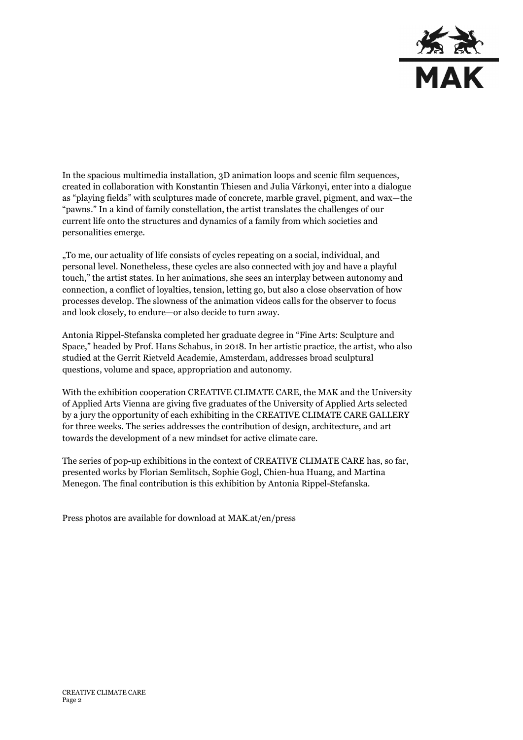

In the spacious multimedia installation, 3D animation loops and scenic film sequences, created in collaboration with Konstantin Thiesen and Julia Várkonyi, enter into a dialogue as "playing fields" with sculptures made of concrete, marble gravel, pigment, and wax—the "pawns." In a kind of family constellation, the artist translates the challenges of our current life onto the structures and dynamics of a family from which societies and personalities emerge.

"To me, our actuality of life consists of cycles repeating on a social, individual, and personal level. Nonetheless, these cycles are also connected with joy and have a playful touch," the artist states. In her animations, she sees an interplay between autonomy and connection, a conflict of loyalties, tension, letting go, but also a close observation of how processes develop. The slowness of the animation videos calls for the observer to focus and look closely, to endure—or also decide to turn away.

Antonia Rippel-Stefanska completed her graduate degree in "Fine Arts: Sculpture and Space," headed by Prof. Hans Schabus, in 2018. In her artistic practice, the artist, who also studied at the Gerrit Rietveld Academie, Amsterdam, addresses broad sculptural questions, volume and space, appropriation and autonomy.

With the exhibition cooperation CREATIVE CLIMATE CARE, the MAK and the University of Applied Arts Vienna are giving five graduates of the University of Applied Arts selected by a jury the opportunity of each exhibiting in the CREATIVE CLIMATE CARE GALLERY for three weeks. The series addresses the contribution of design, architecture, and art towards the development of a new mindset for active climate care.

The series of pop-up exhibitions in the context of CREATIVE CLIMATE CARE has, so far, presented works by Florian Semlitsch, Sophie Gogl, Chien-hua Huang, and Martina Menegon. The final contribution is this exhibition by Antonia Rippel-Stefanska.

Press photos are available for download at MAK.at/en/press